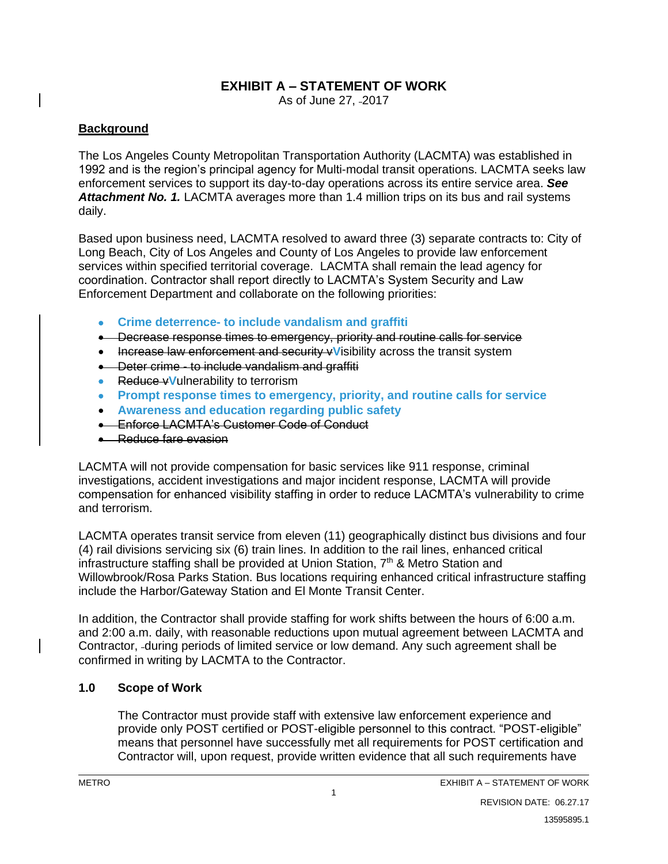# **EXHIBIT A – STATEMENT OF WORK**

As of June 27, -2017

## **Background**

The Los Angeles County Metropolitan Transportation Authority (LACMTA) was established in 1992 and is the region's principal agency for Multi-modal transit operations. LACMTA seeks law enforcement services to support its day-to-day operations across its entire service area. *See Attachment No. 1.* LACMTA averages more than 1.4 million trips on its bus and rail systems daily.

Based upon business need, LACMTA resolved to award three (3) separate contracts to: City of Long Beach, City of Los Angeles and County of Los Angeles to provide law enforcement services within specified territorial coverage. LACMTA shall remain the lead agency for coordination. Contractor shall report directly to LACMTA's System Security and Law Enforcement Department and collaborate on the following priorities:

- **Crime deterrence- to include vandalism and graffiti**
- Decrease response times to emergency, priority and routine calls for service
- Increase law enforcement and security v**V**isibility across the transit system
- Deter crime to include vandalism and graffiti
- Reduce v**V**ulnerability to terrorism
- **Prompt response times to emergency, priority, and routine calls for service**
- **Awareness and education regarding public safety**
- Enforce LACMTA's Customer Code of Conduct
- Reduce fare evasion

LACMTA will not provide compensation for basic services like 911 response, criminal investigations, accident investigations and major incident response, LACMTA will provide compensation for enhanced visibility staffing in order to reduce LACMTA's vulnerability to crime and terrorism.

LACMTA operates transit service from eleven (11) geographically distinct bus divisions and four (4) rail divisions servicing six (6) train lines. In addition to the rail lines, enhanced critical infrastructure staffing shall be provided at Union Station, 7<sup>th</sup> & Metro Station and Willowbrook/Rosa Parks Station. Bus locations requiring enhanced critical infrastructure staffing include the Harbor/Gateway Station and El Monte Transit Center.

In addition, the Contractor shall provide staffing for work shifts between the hours of 6:00 a.m. and 2:00 a.m. daily, with reasonable reductions upon mutual agreement between LACMTA and Contractor, during periods of limited service or low demand. Any such agreement shall be confirmed in writing by LACMTA to the Contractor.

## **1.0 Scope of Work**

The Contractor must provide staff with extensive law enforcement experience and provide only POST certified or POST-eligible personnel to this contract. "POST-eligible" means that personnel have successfully met all requirements for POST certification and Contractor will, upon request, provide written evidence that all such requirements have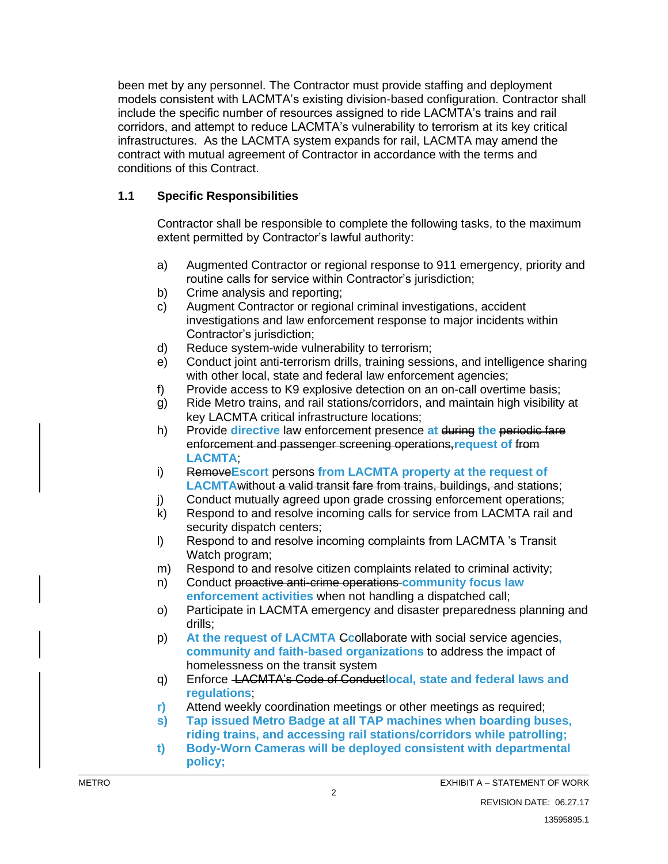been met by any personnel. The Contractor must provide staffing and deployment models consistent with LACMTA's existing division-based configuration. Contractor shall include the specific number of resources assigned to ride LACMTA's trains and rail corridors, and attempt to reduce LACMTA's vulnerability to terrorism at its key critical infrastructures. As the LACMTA system expands for rail, LACMTA may amend the contract with mutual agreement of Contractor in accordance with the terms and conditions of this Contract.

## **1.1 Specific Responsibilities**

Contractor shall be responsible to complete the following tasks, to the maximum extent permitted by Contractor's lawful authority:

- a) Augmented Contractor or regional response to 911 emergency, priority and routine calls for service within Contractor's jurisdiction;
- b) Crime analysis and reporting;
- c) Augment Contractor or regional criminal investigations, accident investigations and law enforcement response to major incidents within Contractor's jurisdiction;
- d) Reduce system-wide vulnerability to terrorism;
- e) Conduct joint anti-terrorism drills, training sessions, and intelligence sharing with other local, state and federal law enforcement agencies;
- f) Provide access to K9 explosive detection on an on-call overtime basis;
- g) Ride Metro trains, and rail stations/corridors, and maintain high visibility at key LACMTA critical infrastructure locations;
- h) Provide **directive** law enforcement presence **at** during **the** periodic fare enforcement and passenger screening operations,**request of** from **LACMTA**;
- i) Remove**Escort** persons **from LACMTA property at the request of LACMTA**without a valid transit fare from trains, buildings, and stations;
- j) Conduct mutually agreed upon grade crossing enforcement operations;
- k) Respond to and resolve incoming calls for service from LACMTA rail and security dispatch centers;
- l) Respond to and resolve incoming complaints from LACMTA 's Transit Watch program;
- m) Respond to and resolve citizen complaints related to criminal activity;
- n) Conduct proactive anti-crime operations **community focus law enforcement activities** when not handling a dispatched call;
- o) Participate in LACMTA emergency and disaster preparedness planning and drills;
- p) **At the request of LACMTA** C**c**ollaborate with social service agencies**, community and faith-based organizations** to address the impact of homelessness on the transit system
- q) Enforce LACMTA's Code of Conduct**local, state and federal laws and regulations**;
- **r)** Attend weekly coordination meetings or other meetings as required;
- **s) Tap issued Metro Badge at all TAP machines when boarding buses, riding trains, and accessing rail stations/corridors while patrolling;**
- **t) Body-Worn Cameras will be deployed consistent with departmental policy;**

2

EXHIBIT A – STATEMENT OF WORK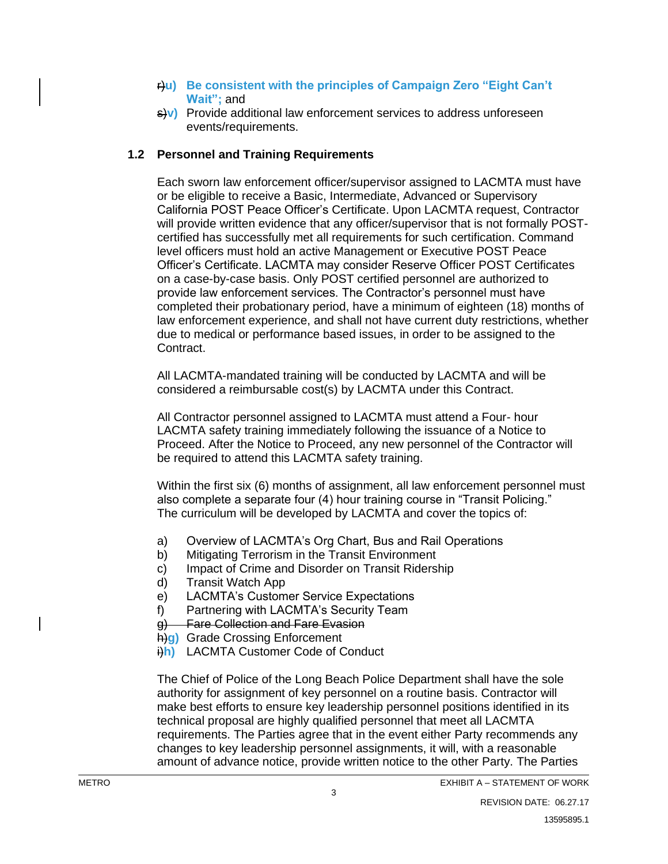- r)**u) Be consistent with the principles of Campaign Zero "Eight Can't Wait";** and
- s)**v)** Provide additional law enforcement services to address unforeseen events/requirements.

## **1.2 Personnel and Training Requirements**

Each sworn law enforcement officer/supervisor assigned to LACMTA must have or be eligible to receive a Basic, Intermediate, Advanced or Supervisory California POST Peace Officer's Certificate. Upon LACMTA request, Contractor will provide written evidence that any officer/supervisor that is not formally POSTcertified has successfully met all requirements for such certification. Command level officers must hold an active Management or Executive POST Peace Officer's Certificate. LACMTA may consider Reserve Officer POST Certificates on a case-by-case basis. Only POST certified personnel are authorized to provide law enforcement services. The Contractor's personnel must have completed their probationary period, have a minimum of eighteen (18) months of law enforcement experience, and shall not have current duty restrictions, whether due to medical or performance based issues, in order to be assigned to the Contract.

All LACMTA-mandated training will be conducted by LACMTA and will be considered a reimbursable cost(s) by LACMTA under this Contract.

All Contractor personnel assigned to LACMTA must attend a Four- hour LACMTA safety training immediately following the issuance of a Notice to Proceed. After the Notice to Proceed, any new personnel of the Contractor will be required to attend this LACMTA safety training.

Within the first six (6) months of assignment, all law enforcement personnel must also complete a separate four (4) hour training course in "Transit Policing." The curriculum will be developed by LACMTA and cover the topics of:

- a) Overview of LACMTA's Org Chart, Bus and Rail Operations
- b) Mitigating Terrorism in the Transit Environment
- c) Impact of Crime and Disorder on Transit Ridership
- d) Transit Watch App
- e) LACMTA's Customer Service Expectations
- f) Partnering with LACMTA's Security Team
- g) Fare Collection and Fare Evasion
- h)**g)** Grade Crossing Enforcement
- i)**h)** LACMTA Customer Code of Conduct

The Chief of Police of the Long Beach Police Department shall have the sole authority for assignment of key personnel on a routine basis. Contractor will make best efforts to ensure key leadership personnel positions identified in its technical proposal are highly qualified personnel that meet all LACMTA requirements. The Parties agree that in the event either Party recommends any changes to key leadership personnel assignments, it will, with a reasonable amount of advance notice, provide written notice to the other Party. The Parties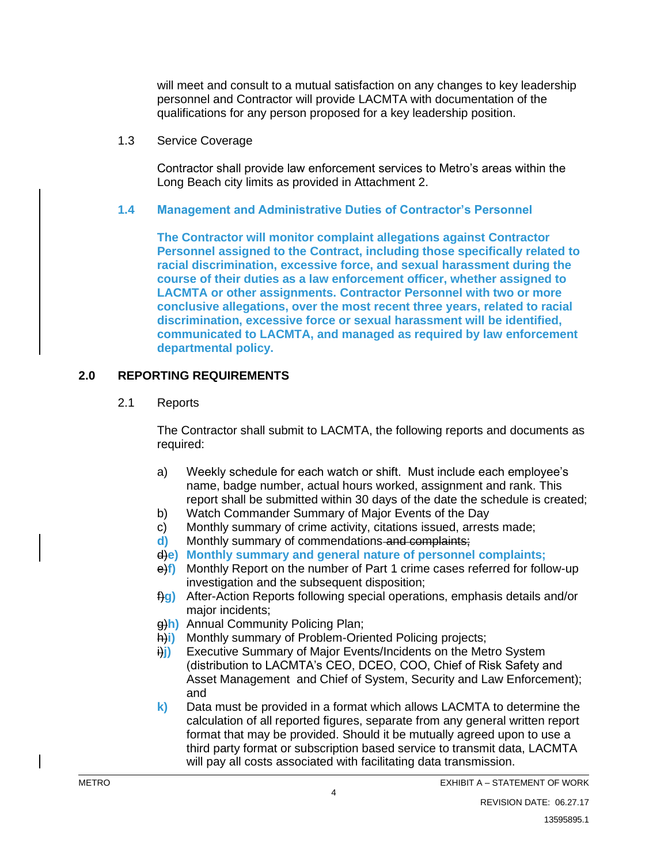will meet and consult to a mutual satisfaction on any changes to key leadership personnel and Contractor will provide LACMTA with documentation of the qualifications for any person proposed for a key leadership position.

1.3 Service Coverage

Contractor shall provide law enforcement services to Metro's areas within the Long Beach city limits as provided in Attachment 2.

#### **1.4 Management and Administrative Duties of Contractor's Personnel**

**The Contractor will monitor complaint allegations against Contractor Personnel assigned to the Contract, including those specifically related to racial discrimination, excessive force, and sexual harassment during the course of their duties as a law enforcement officer, whether assigned to LACMTA or other assignments. Contractor Personnel with two or more conclusive allegations, over the most recent three years, related to racial discrimination, excessive force or sexual harassment will be identified, communicated to LACMTA, and managed as required by law enforcement departmental policy.**

#### **2.0 REPORTING REQUIREMENTS**

#### 2.1 Reports

The Contractor shall submit to LACMTA, the following reports and documents as required:

- a) Weekly schedule for each watch or shift. Must include each employee's name, badge number, actual hours worked, assignment and rank. This report shall be submitted within 30 days of the date the schedule is created;
- b) Watch Commander Summary of Major Events of the Day
- c) Monthly summary of crime activity, citations issued, arrests made;
- **d)** Monthly summary of commendations and complaints;
- d)**e) Monthly summary and general nature of personnel complaints;**
- e)**f)** Monthly Report on the number of Part 1 crime cases referred for follow-up investigation and the subsequent disposition;
- f)**g)** After-Action Reports following special operations, emphasis details and/or major incidents;
- g)**h)** Annual Community Policing Plan;
- h)**i)** Monthly summary of Problem-Oriented Policing projects;
- **i)** Executive Summary of Major Events/Incidents on the Metro System (distribution to LACMTA's CEO, DCEO, COO, Chief of Risk Safety and Asset Management and Chief of System, Security and Law Enforcement); and
- **k)** Data must be provided in a format which allows LACMTA to determine the calculation of all reported figures, separate from any general written report format that may be provided. Should it be mutually agreed upon to use a third party format or subscription based service to transmit data, LACMTA will pay all costs associated with facilitating data transmission.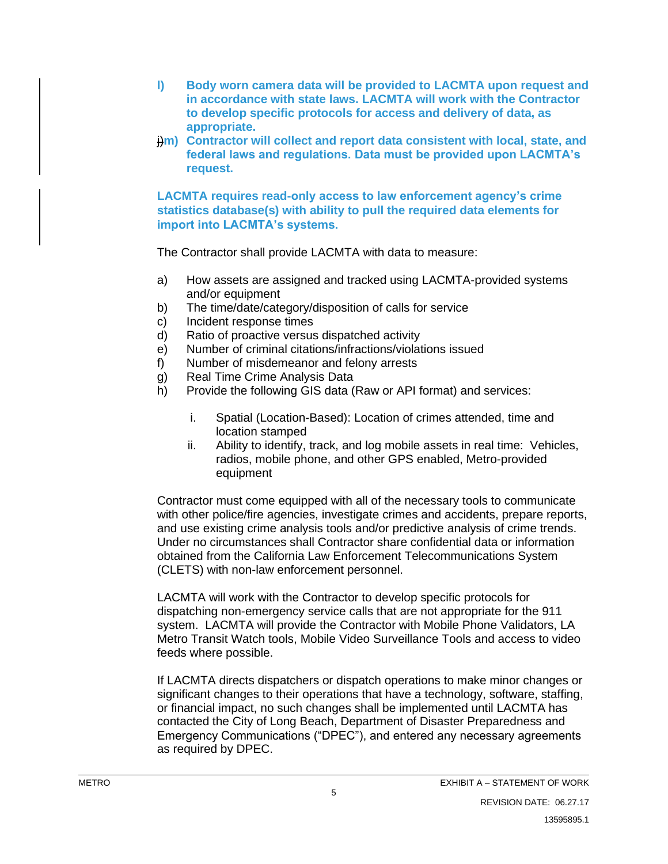- **l) Body worn camera data will be provided to LACMTA upon request and in accordance with state laws. LACMTA will work with the Contractor to develop specific protocols for access and delivery of data, as appropriate.**
- $\frac{1}{2}$ m) Contractor will collect and report data consistent with local, state, and **federal laws and regulations. Data must be provided upon LACMTA's request.**

**LACMTA requires read-only access to law enforcement agency's crime statistics database(s) with ability to pull the required data elements for import into LACMTA's systems.**

The Contractor shall provide LACMTA with data to measure:

- a) How assets are assigned and tracked using LACMTA-provided systems and/or equipment
- b) The time/date/category/disposition of calls for service
- c) Incident response times
- d) Ratio of proactive versus dispatched activity
- e) Number of criminal citations/infractions/violations issued
- f) Number of misdemeanor and felony arrests
- g) Real Time Crime Analysis Data
- h) Provide the following GIS data (Raw or API format) and services:
	- i. Spatial (Location-Based): Location of crimes attended, time and location stamped
	- ii. Ability to identify, track, and log mobile assets in real time: Vehicles, radios, mobile phone, and other GPS enabled, Metro-provided equipment

Contractor must come equipped with all of the necessary tools to communicate with other police/fire agencies, investigate crimes and accidents, prepare reports, and use existing crime analysis tools and/or predictive analysis of crime trends. Under no circumstances shall Contractor share confidential data or information obtained from the California Law Enforcement Telecommunications System (CLETS) with non-law enforcement personnel.

LACMTA will work with the Contractor to develop specific protocols for dispatching non-emergency service calls that are not appropriate for the 911 system. LACMTA will provide the Contractor with Mobile Phone Validators, LA Metro Transit Watch tools, Mobile Video Surveillance Tools and access to video feeds where possible.

If LACMTA directs dispatchers or dispatch operations to make minor changes or significant changes to their operations that have a technology, software, staffing, or financial impact, no such changes shall be implemented until LACMTA has contacted the City of Long Beach, Department of Disaster Preparedness and Emergency Communications ("DPEC"), and entered any necessary agreements as required by DPEC.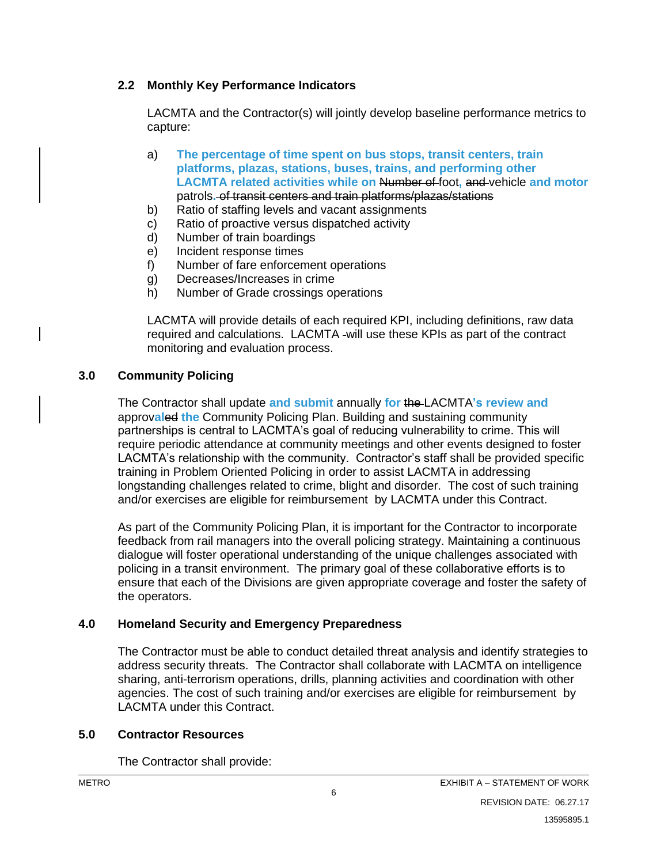#### **2.2 Monthly Key Performance Indicators**

LACMTA and the Contractor(s) will jointly develop baseline performance metrics to capture:

- a) **The percentage of time spent on bus stops, transit centers, train platforms, plazas, stations, buses, trains, and performing other LACMTA related activities while on** Number of foot**,** and vehicle **and motor** patrols**.** of transit centers and train platforms/plazas/stations
- b) Ratio of staffing levels and vacant assignments
- c) Ratio of proactive versus dispatched activity
- d) Number of train boardings
- e) Incident response times
- f) Number of fare enforcement operations
- g) Decreases/Increases in crime
- h) Number of Grade crossings operations

LACMTA will provide details of each required KPI, including definitions, raw data required and calculations. LACMTA will use these KPIs as part of the contract monitoring and evaluation process.

#### **3.0 Community Policing**

The Contractor shall update **and submit** annually **for** the LACMTA**'s review and**  approv**al**ed **the** Community Policing Plan. Building and sustaining community partnerships is central to LACMTA's goal of reducing vulnerability to crime. This will require periodic attendance at community meetings and other events designed to foster LACMTA's relationship with the community. Contractor's staff shall be provided specific training in Problem Oriented Policing in order to assist LACMTA in addressing longstanding challenges related to crime, blight and disorder. The cost of such training and/or exercises are eligible for reimbursement by LACMTA under this Contract.

As part of the Community Policing Plan, it is important for the Contractor to incorporate feedback from rail managers into the overall policing strategy. Maintaining a continuous dialogue will foster operational understanding of the unique challenges associated with policing in a transit environment. The primary goal of these collaborative efforts is to ensure that each of the Divisions are given appropriate coverage and foster the safety of the operators.

#### **4.0 Homeland Security and Emergency Preparedness**

The Contractor must be able to conduct detailed threat analysis and identify strategies to address security threats. The Contractor shall collaborate with LACMTA on intelligence sharing, anti-terrorism operations, drills, planning activities and coordination with other agencies. The cost of such training and/or exercises are eligible for reimbursement by LACMTA under this Contract.

#### **5.0 Contractor Resources**

The Contractor shall provide: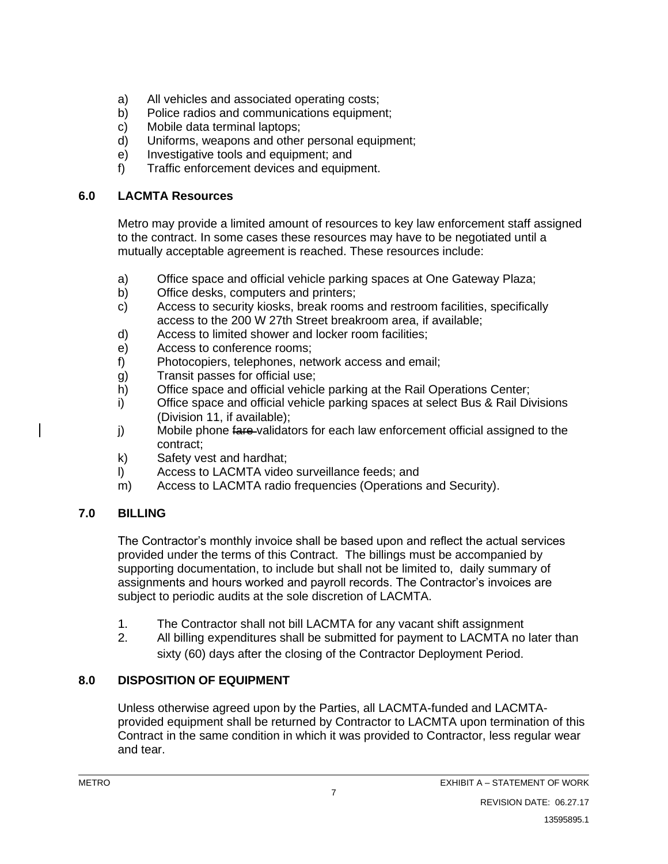- a) All vehicles and associated operating costs;
- b) Police radios and communications equipment;
- c) Mobile data terminal laptops;
- d) Uniforms, weapons and other personal equipment;
- e) Investigative tools and equipment; and
- f) Traffic enforcement devices and equipment.

## **6.0 LACMTA Resources**

Metro may provide a limited amount of resources to key law enforcement staff assigned to the contract. In some cases these resources may have to be negotiated until a mutually acceptable agreement is reached. These resources include:

- a) Office space and official vehicle parking spaces at One Gateway Plaza;
- b) Office desks, computers and printers;
- c) Access to security kiosks, break rooms and restroom facilities, specifically access to the 200 W 27th Street breakroom area, if available;
- d) Access to limited shower and locker room facilities;
- e) Access to conference rooms;
- f) Photocopiers, telephones, network access and email;
- g) Transit passes for official use;
- h) Office space and official vehicle parking at the Rail Operations Center;
- i) Office space and official vehicle parking spaces at select Bus & Rail Divisions (Division 11, if available);
- j) Mobile phone fare-validators for each law enforcement official assigned to the contract;
- k) Safety vest and hardhat;
- l) Access to LACMTA video surveillance feeds; and
- m) Access to LACMTA radio frequencies (Operations and Security).

# **7.0 BILLING**

The Contractor's monthly invoice shall be based upon and reflect the actual services provided under the terms of this Contract. The billings must be accompanied by supporting documentation, to include but shall not be limited to, daily summary of assignments and hours worked and payroll records. The Contractor's invoices are subject to periodic audits at the sole discretion of LACMTA.

- 1. The Contractor shall not bill LACMTA for any vacant shift assignment
- 2. All billing expenditures shall be submitted for payment to LACMTA no later than sixty (60) days after the closing of the Contractor Deployment Period.

# **8.0 DISPOSITION OF EQUIPMENT**

Unless otherwise agreed upon by the Parties, all LACMTA-funded and LACMTAprovided equipment shall be returned by Contractor to LACMTA upon termination of this Contract in the same condition in which it was provided to Contractor, less regular wear and tear.